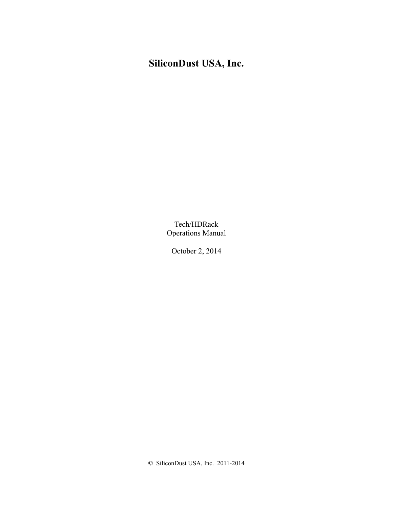# **SiliconDust USA, Inc.**

Tech/HDRack Operations Manual

October 2, 2014

© SiliconDust USA, Inc. 2011-2014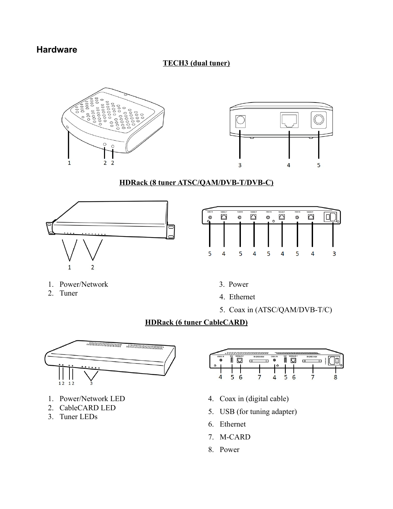# **Hardware**

## **TECH3 (dual tuner)**



## **HDRack (8 tuner ATSC/QAM/DVB-T/DVB-C)**



| CABLE IN<br>$\circledcirc$ | 100BASE-T | <b>CABLE IV</b><br>© | 100BASE-T | <b>CABLE IN</b><br>◎<br>$\circ$ | 1008ASE-T | <b>CABLE IN</b><br>© | 1008A56-T |  |
|----------------------------|-----------|----------------------|-----------|---------------------------------|-----------|----------------------|-----------|--|
|                            |           |                      |           |                                 |           |                      |           |  |
|                            |           |                      |           |                                 |           |                      |           |  |

- 1. Power/Network
- 2. Tuner
- 3. Power
- 4. Ethernet
- 5. Coax in (ATSC/QAM/DVB-T/C)

## **HDRack (6 tuner CableCARD)**



- 1. Power/Network LED
- 2. CableCARD LED
- 3. Tuner LEDs



- 4. Coax in (digital cable)
- 5. USB (for tuning adapter)
- 6. Ethernet
- 7. M-CARD
- 8. Power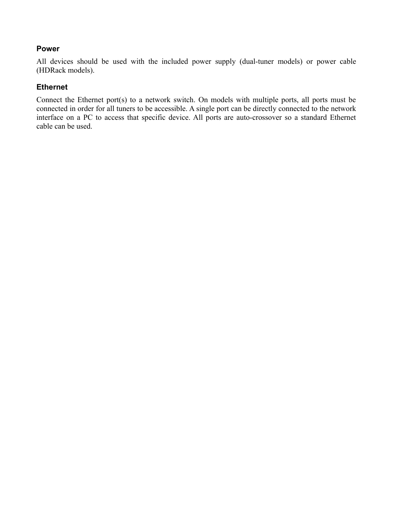## **Power**

All devices should be used with the included power supply (dual-tuner models) or power cable (HDRack models).

## **Ethernet**

Connect the Ethernet port(s) to a network switch. On models with multiple ports, all ports must be connected in order for all tuners to be accessible. A single port can be directly connected to the network interface on a PC to access that specific device. All ports are auto-crossover so a standard Ethernet cable can be used.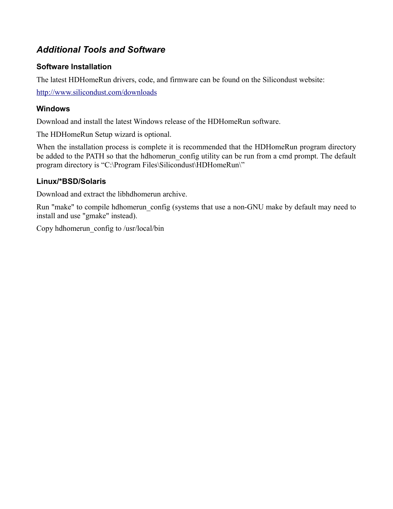# *Additional Tools and Software*

# **Software Installation**

The latest HDHomeRun drivers, code, and firmware can be found on the Silicondust website:

<http://www.silicondust.com/downloads>

## **Windows**

Download and install the latest Windows release of the HDHomeRun software.

The HDHomeRun Setup wizard is optional.

When the installation process is complete it is recommended that the HDHomeRun program directory be added to the PATH so that the hdhomerun config utility can be run from a cmd prompt. The default program directory is "C:\Program Files\Silicondust\HDHomeRun\"

## **Linux/\*BSD/Solaris**

Download and extract the libhdhomerun archive.

Run "make" to compile hdhomerun config (systems that use a non-GNU make by default may need to install and use "gmake" instead).

Copy hdhomerun\_config to /usr/local/bin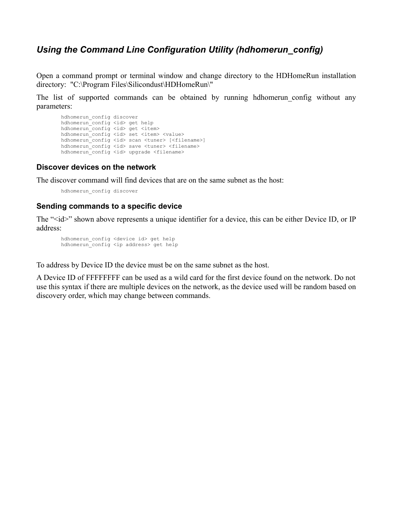# *Using the Command Line Configuration Utility (hdhomerun\_config)*

Open a command prompt or terminal window and change directory to the HDHomeRun installation directory: "C:\Program Files\Silicondust\HDHomeRun\"

The list of supported commands can be obtained by running hdhomerun config without any parameters:

```
 hdhomerun_config discover
 hdhomerun_config <id> get help
hdhomerun_config <id> get <item>
hdhomerun<sup>-</sup>config <id> set <item> <value>
hdhomerun_config <id> scan <tuner> [<filename>]
 hdhomerun_config <id> save <tuner> <filename>
 hdhomerun_config <id> upgrade <filename>
```
## **Discover devices on the network**

The discover command will find devices that are on the same subnet as the host:

hdhomerun\_config discover

## **Sending commands to a specific device**

The "<id>" shown above represents a unique identifier for a device, this can be either Device ID, or IP address:

hdhomerun config <device id> get help hdhomerun\_config <ip address> get help

To address by Device ID the device must be on the same subnet as the host.

A Device ID of FFFFFFFF can be used as a wild card for the first device found on the network. Do not use this syntax if there are multiple devices on the network, as the device used will be random based on discovery order, which may change between commands.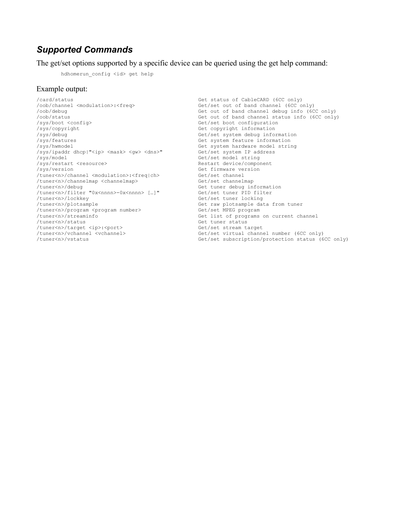# *Supported Commands*

The get/set options supported by a specific device can be queried using the get help command:

hdhomerun config <id> get help

### Example output:

/card/status Get status of CableCARD (6CC only) /sys/boot <config> Get/set boot configuration /sys/copyright Get copyright information /sys/debug Get/set system debug information /sys/features Get system feature information /sys/ipaddr dhcp|"<ip> <mask> <gw> <dns>" Get/set system IP address /sys/restart <resource> Restart device/component /tuner<n>/channel <modulation>:<freq|ch> Get/set channel /tuner<n>/channelmap <channelmap> Get/set channelmap /tuner<n>/debug Get tuner debug information /tuner<n>/filter "0x<nnnn>-0x<nnnn> […]" Get/set tuner PID filter /tuner<n>/lockkey Get/set tuner locking /tuner<n>/plotsample Get raw plotsample data from tuner /tuner<n>/program <program number><br>/tuner<n>/streaminfo /tuner<n>/streaminfo Get list of programs on current channel /tuner<n>/target <ip>:<port><br>/tuner<n>/vchannel <vchannel> /tuner<n>/vchannel <vchannel> Get/set virtual channel number (6CC only)

Get/set out of band channel (6CC only) /oob/debug Get out of band channel debug info (6CC only) /oob/status<br>
/sys/boot <config>
Get/set boot configuration
Get/set boot configuration
Get/set boot configuration Get system hardware model string Get/set model string Get firmware version<br>Get/set channel Get tuner status<br>Get/set stream target Get/set subscription/protection status (6CC only)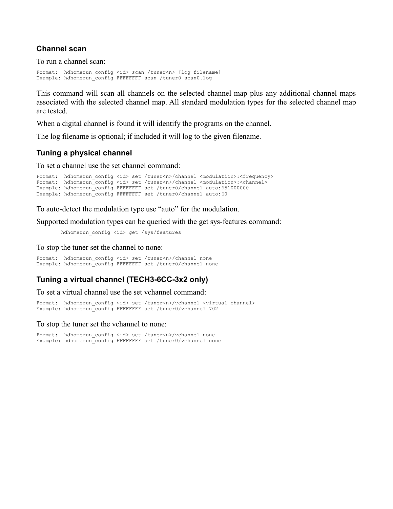## **Channel scan**

To run a channel scan:

Format: hdhomerun config <id> scan /tuner<n> [log filename] Example: hdhomerun\_config FFFFFFFF scan /tuner0 scan0.log

This command will scan all channels on the selected channel map plus any additional channel maps associated with the selected channel map. All standard modulation types for the selected channel map are tested.

When a digital channel is found it will identify the programs on the channel.

The log filename is optional; if included it will log to the given filename.

## **Tuning a physical channel**

To set a channel use the set channel command:

```
Format: hdhomerun config <id> set /tuner<n>/channel <modulation>:<frequency>
Format: hdhomerun<sup>-</sup>config <id> set /tuner<n>/channel <modulation>:<channel>
Example: hdhomerun<sup>config</sup> FFFFFFFF set /tuner0/channel auto:651000000
Example: hdhomerun_config FFFFFFFF set /tuner0/channel auto:60
```
To auto-detect the modulation type use "auto" for the modulation.

Supported modulation types can be queried with the get sys-features command:

hdhomerun config <id> get /sys/features

To stop the tuner set the channel to none:

Format: hdhomerun config <id> set /tuner<n>/channel none Example: hdhomerun config FFFFFFFF set /tuner0/channel none

## **Tuning a virtual channel (TECH3-6CC-3x2 only)**

To set a virtual channel use the set vchannel command:

Format: hdhomerun config <id> set /tuner<n>/vchannel <virtual channel> Example: hdhomerun\_config FFFFFFFF set /tuner0/vchannel 702

### To stop the tuner set the vchannel to none:

Format: hdhomerun\_config <id> set /tuner<n>/vchannel none Example: hdhomerun config FFFFFFFF set /tuner0/vchannel none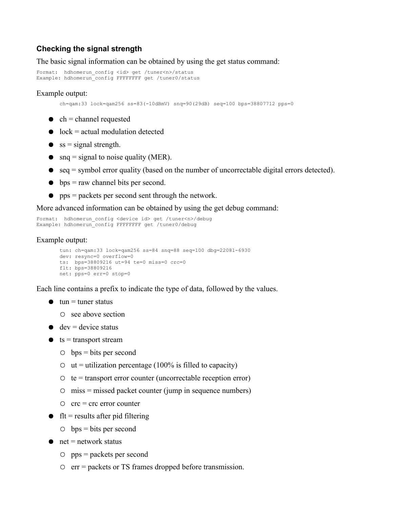## **Checking the signal strength**

The basic signal information can be obtained by using the get status command:

```
Format: hdhomerun config <id> get /tuner<n>/status
Example: hdhomerun_config FFFFFFFF get /tuner0/status
```
### Example output:

 $ch = \text{qam}:33 \text{ lock} = \text{qam256 ss} = 83(-10\text{dBmV}) \text{ snq} = 90(29\text{dB}) \text{ seq}=100 \text{bps} = 38807712 \text{pps} = 0$ 

- $\bullet$  ch = channel requested
- $\bullet$  lock = actual modulation detected
- $\bullet$  ss = signal strength.
- snq = signal to noise quality (MER).
- $\bullet$  seq = symbol error quality (based on the number of uncorrectable digital errors detected).
- $\bullet$  bps = raw channel bits per second.
- pps = packets per second sent through the network.

More advanced information can be obtained by using the get debug command:

```
Format: hdhomerun_config <device id> get /tuner<n>/debug
Example: hdhomerun_config FFFFFFFF get /tuner0/debug
```
### Example output:

```
tun: ch=qam:33 lock=qam256 ss=84 snq=88 seq=100 dbg=22081-6930
dev: resync=0 overflow=0
ts: bps=38809216 ut=94 te=0 miss=0 crc=0
flt: bps=38809216
net: pps=0 err=0 stop=0
```
Each line contains a prefix to indicate the type of data, followed by the values.

- $\bullet$  tun = tuner status
	- $\circ$  see above section
- $\bullet$  dev = device status
- $\bullet$  ts = transport stream
	- $\circ$  bps = bits per second
	- $\circ$  ut = utilization percentage (100% is filled to capacity)
	- $\circ$  te = transport error counter (uncorrectable reception error)
	- $\circ$  miss = missed packet counter (jump in sequence numbers)
	- $\circ$  crc = crc error counter
- $\bullet$  flt = results after pid filtering
	- $\circ$  bps = bits per second
- $\bullet$  net = network status
	- pps = packets per second
	- err = packets or TS frames dropped before transmission.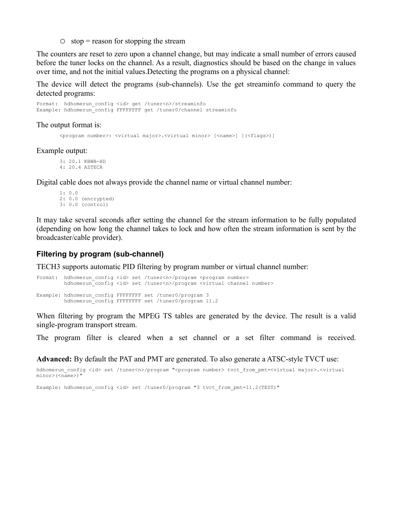$\circ$  stop = reason for stopping the stream

The counters are reset to zero upon a channel change, but may indicate a small number of errors caused before the tuner locks on the channel. As a result, diagnostics should be based on the change in values over time, and not the initial values.Detecting the programs on a physical channel:

The device will detect the programs (sub-channels). Use the get streaminfo command to query the detected programs:

Format: hdhomerun config <id> get /tuner<n>/streaminfo Example: hdhomerun config FFFFFFFF get /tuner0/channel streaminfo

The output format is:

<program number>: <virtual major>.<virtual minor> [<name>] [(<flags>)]

Example output:

3: 20.1 KBWB-HD 4: 20.4 AZTECA

Digital cable does not always provide the channel name or virtual channel number:

1: 0.0 2: 0.0 (encrypted) 3: 0.0 (control)

It may take several seconds after setting the channel for the stream information to be fully populated (depending on how long the channel takes to lock and how often the stream information is sent by the broadcaster/cable provider).

### **Filtering by program (sub-channel)**

TECH3 supports automatic PID filtering by program number or virtual channel number:

```
Format: hdhomerun config <id> set /tuner<n>/program <program number>
        hdhomerun_config <id> set /tuner<n>/program <virtual channel number>
Example: hdhomerun_config FFFFFFFF set /tuner0/program 3
        hdhomerun_config FFFFFFFF set /tuner0/program 11.2
```
When filtering by program the MPEG TS tables are generated by the device. The result is a valid single-program transport stream.

The program filter is cleared when a set channel or a set filter command is received.

**Advanced:** By default the PAT and PMT are generated. To also generate a ATSC-style TVCT use:

hdhomerun\_config <id> set /tuner<n>/program "<program number> tvct\_from\_pmt=<virtual major>.<virtual minor>(<name>)"

Example: hdhomerun\_config <id> set /tuner0/program "3 tvct\_from\_pmt=11.2(TEST)"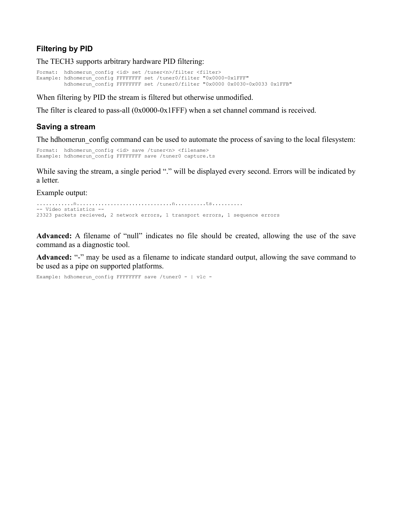## **Filtering by PID**

The TECH3 supports arbitrary hardware PID filtering:

```
Format: hdhomerun config <id> set /tuner<n>/filter <filter>
Example: hdhomerun_config FFFFFFFF set /tuner0/filter "0x0000-0x1FFF"
        hdhomerun_config FFFFFFFF set /tuner0/filter "0x0000 0x0030-0x0033 0x1FFB"
```
When filtering by PID the stream is filtered but otherwise unmodified.

The filter is cleared to pass-all (0x0000-0x1FFF) when a set channel command is received.

## **Saving a stream**

The hdhomerun config command can be used to automate the process of saving to the local filesystem:

```
Format: hdhomerun config <id> save /tuner<n> <filename>
Example: hdhomerun config FFFFFFFF save /tuner0 capture.ts
```
While saving the stream, a single period "." will be displayed every second. Errors will be indicated by a letter.

Example output:

```
............n...............................n..........ts..........
-- Video statistics --
23323 packets recieved, 2 network errors, 1 transport errors, 1 sequence errors
```
**Advanced:** A filename of "null" indicates no file should be created, allowing the use of the save command as a diagnostic tool.

**Advanced:** "-" may be used as a filename to indicate standard output, allowing the save command to be used as a pipe on supported platforms.

```
Example: hdhomerun config FFFFFFFF save /tuner0 - | vlc -
```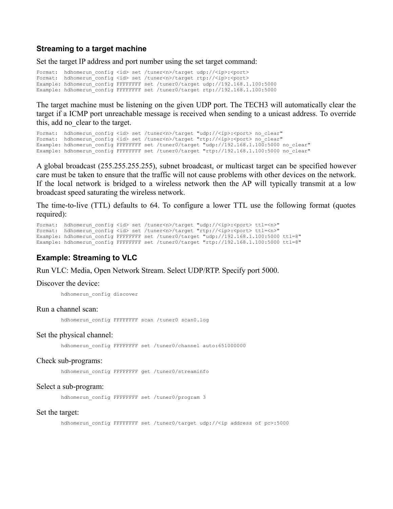### **Streaming to a target machine**

Set the target IP address and port number using the set target command:

Format: hdhomerun config <id> set /tuner<n>/target udp://<ip>:<port> Format: hdhomerun\_config <id> set /tuner<n>/target rtp://<ip>:<port> Example: hdhomerun\_config FFFFFFFF set /tuner0/target udp://192.168.1.100:5000 Example: hdhomerun\_config FFFFFFFF set /tuner0/target rtp://192.168.1.100:5000

The target machine must be listening on the given UDP port. The TECH3 will automatically clear the target if a ICMP port unreachable message is received when sending to a unicast address. To override this, add no\_clear to the target.

```
Format: hdhomerun_config <id> set /tuner<n>/target "udp://<ip>:<port> no_clear"
Format: hdhomerun_config <id> set /tuner<n>/target "rtp://<ip>:<port> no_clear"
Example: hdhomerun_config FFFFFFFF set /tuner0/target "udp://192.168.1.100:5000 no clear"
Example: hdhomerun_config FFFFFFFF set /tuner0/target "rtp://192.168.1.100:5000 no_clear"
```
A global broadcast (255.255.255.255), subnet broadcast, or multicast target can be specified however care must be taken to ensure that the traffic will not cause problems with other devices on the network. If the local network is bridged to a wireless network then the AP will typically transmit at a low broadcast speed saturating the wireless network.

The time-to-live (TTL) defaults to 64. To configure a lower TTL use the following format (quotes required):

```
Format: hdhomerun_config <id> set /tuner<n>/target "udp://<ip>:<port> ttl=<n>"
Format: hdhomerun_config <id> set /tuner<n>/target "rtp://<ip>:<port> ttl=<n>"
Example: hdhomerun_config FFFFFFFF set /tuner0/target "udp://192.168.1.100:5000 ttl=8"
Example: hdhomerun_config FFFFFFFF set /tuner0/target "rtp://192.168.1.100:5000 ttl=8"
```
### **Example: Streaming to VLC**

Run VLC: Media, Open Network Stream. Select UDP/RTP. Specify port 5000.

#### Discover the device:

hdhomerun\_config discover

#### Run a channel scan:

hdhomerun config FFFFFFFF scan /tuner0 scan0.log

#### Set the physical channel:

hdhomerun config FFFFFFFF set /tuner0/channel auto:651000000

#### Check sub-programs:

hdhomerun config FFFFFFFF get /tuner0/streaminfo

#### Select a sub-program:

hdhomerun config FFFFFFFF set /tuner0/program 3

#### Set the target:

hdhomerun config FFFFFFFF set /tuner0/target udp://<ip address of pc>:5000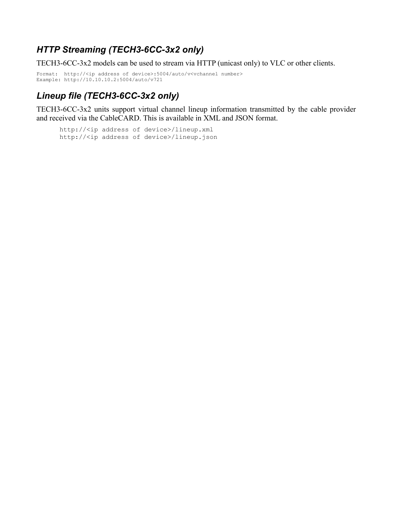# *HTTP Streaming (TECH3-6CC-3x2 only)*

TECH3-6CC-3x2 models can be used to stream via HTTP (unicast only) to VLC or other clients.

```
Format: http://<ip address of device>:5004/auto/v<vchannel number>
Example: http://10.10.10.2:5004/auto/v721
```
# *Lineup file (TECH3-6CC-3x2 only)*

TECH3-6CC-3x2 units support virtual channel lineup information transmitted by the cable provider and received via the CableCARD. This is available in XML and JSON format.

http://<ip address of device>/lineup.xml http://<ip address of device>/lineup.json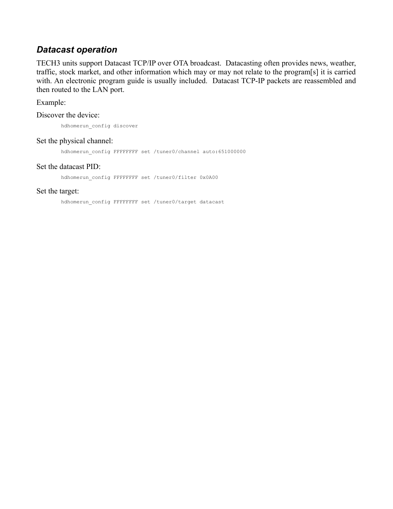## *Datacast operation*

TECH3 units support Datacast TCP/IP over OTA broadcast. Datacasting often provides news, weather, traffic, stock market, and other information which may or may not relate to the program[s] it is carried with. An electronic program guide is usually included. Datacast TCP-IP packets are reassembled and then routed to the LAN port.

Example:

Discover the device:

hdhomerun\_config discover

### Set the physical channel:

hdhomerun\_config FFFFFFFF set /tuner0/channel auto:651000000

### Set the datacast PID:

hdhomerun config FFFFFFFF set /tuner0/filter 0x0A00

### Set the target:

hdhomerun config FFFFFFFF set /tuner0/target datacast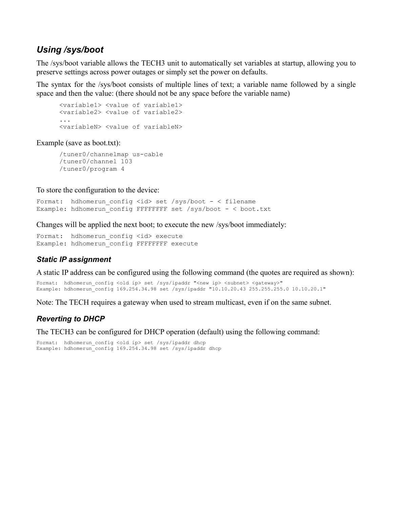# *Using /sys/boot*

The /sys/boot variable allows the TECH3 unit to automatically set variables at startup, allowing you to preserve settings across power outages or simply set the power on defaults.

The syntax for the /sys/boot consists of multiple lines of text; a variable name followed by a single space and then the value: (there should not be any space before the variable name)

```
<variable1> <value of variable1>
<variable2> <value of variable2>
...
<variableN> <value of variableN>
```
Example (save as boot.txt):

```
/tuner0/channelmap us-cable
/tuner0/channel 103
/tuner0/program 4
```
To store the configuration to the device:

```
Format: hdhomerun config <id> set /sys/boot - < filename
Example: hdhomerun_config FFFFFFFF set /sys/boot - < boot.txt
```
Changes will be applied the next boot; to execute the new /sys/boot immediately:

Format: hdhomerun config <id> execute Example: hdhomerun config FFFFFFFF execute

## *Static IP assignment*

A static IP address can be configured using the following command (the quotes are required as shown):

```
Format: hdhomerun config <old ip> set /sys/ipaddr "<new ip> <subnet> <gateway>"
Example: hdhomerun_config 169.254.34.98 set /sys/ipaddr "10.10.20.43 255.255.255.0 10.10.20.1"
```
Note: The TECH requires a gateway when used to stream multicast, even if on the same subnet.

## *Reverting to DHCP*

The TECH3 can be configured for DHCP operation (default) using the following command:

```
Format: hdhomerun config <old ip> set /sys/ipaddr dhcp
Example: hdhomerun_config 169.254.34.98 set /sys/ipaddr dhcp
```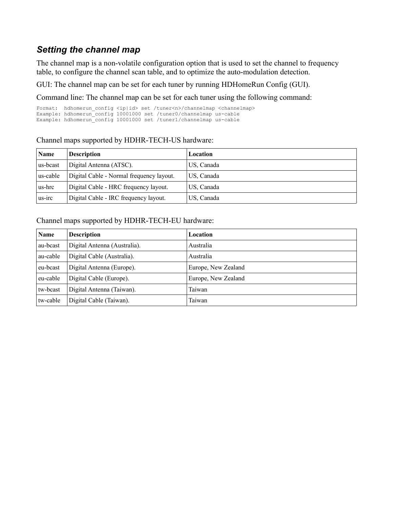# *Setting the channel map*

The channel map is a non-volatile configuration option that is used to set the channel to frequency table, to configure the channel scan table, and to optimize the auto-modulation detection.

GUI: The channel map can be set for each tuner by running HDHomeRun Config (GUI).

Command line: The channel map can be set for each tuner using the following command:

Format: hdhomerun config <ip|id> set /tuner<n>/channelmap <channelmap> Example: hdhomerun\_config 10001000 set /tuner0/channelmap us-cable Example: hdhomerun\_config 10001000 set /tuner1/channelmap us-cable

## Channel maps supported by HDHR-TECH-US hardware:

| <b>Name</b> | <b>Description</b>                       | Location   |
|-------------|------------------------------------------|------------|
| us-beast    | Digital Antenna (ATSC).                  | US, Canada |
| us-cable    | Digital Cable - Normal frequency layout. | US, Canada |
| us-hrc      | Digital Cable - HRC frequency layout.    | US, Canada |
| us-irc      | Digital Cable - IRC frequency layout.    | US, Canada |

## Channel maps supported by HDHR-TECH-EU hardware:

| <b>Name</b> | <b>Description</b>           | Location            |  |  |
|-------------|------------------------------|---------------------|--|--|
| au-bcast    | Digital Antenna (Australia). | Australia           |  |  |
| au-cable    | Digital Cable (Australia).   | Australia           |  |  |
| eu-beast    | Digital Antenna (Europe).    | Europe, New Zealand |  |  |
| eu-cable    | Digital Cable (Europe).      | Europe, New Zealand |  |  |
| tw-bcast    | Digital Antenna (Taiwan).    | Taiwan              |  |  |
| tw-cable    | Digital Cable (Taiwan).      | Taiwan              |  |  |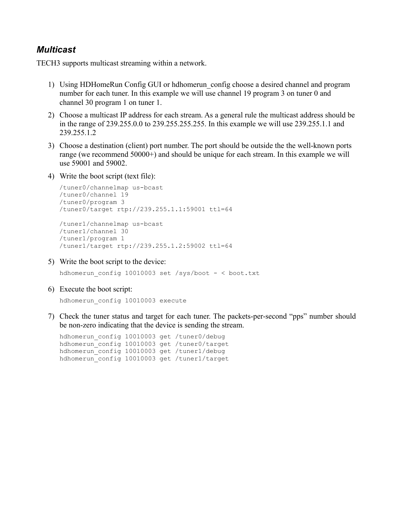## *Multicast*

TECH3 supports multicast streaming within a network.

- 1) Using HDHomeRun Config GUI or hdhomerun\_config choose a desired channel and program number for each tuner. In this example we will use channel 19 program 3 on tuner 0 and channel 30 program 1 on tuner 1.
- 2) Choose a multicast IP address for each stream. As a general rule the multicast address should be in the range of 239.255.0.0 to 239.255.255.255. In this example we will use 239.255.1.1 and 239.255.1.2
- 3) Choose a destination (client) port number. The port should be outside the the well-known ports range (we recommend 50000+) and should be unique for each stream. In this example we will use 59001 and 59002.
- 4) Write the boot script (text file):

```
/tuner0/channelmap us-bcast
/tuner0/channel 19
/tuner0/program 3
/tuner0/target rtp://239.255.1.1:59001 ttl=64
/tuner1/channelmap us-bcast
/tuner1/channel 30
```
/tuner1/program 1 /tuner1/target rtp://239.255.1.2:59002 ttl=64

5) Write the boot script to the device:

hdhomerun config 10010003 set /sys/boot  $-$  < boot.txt

6) Execute the boot script:

```
hdhomerun_config 10010003 execute
```
7) Check the tuner status and target for each tuner. The packets-per-second "pps" number should be non-zero indicating that the device is sending the stream.

hdhomerun\_config 10010003 get /tuner0/debug hdhomerun\_config 10010003 get /tuner0/target hdhomerun\_config 10010003 get /tuner1/debug hdhomerun\_config 10010003 get /tuner1/target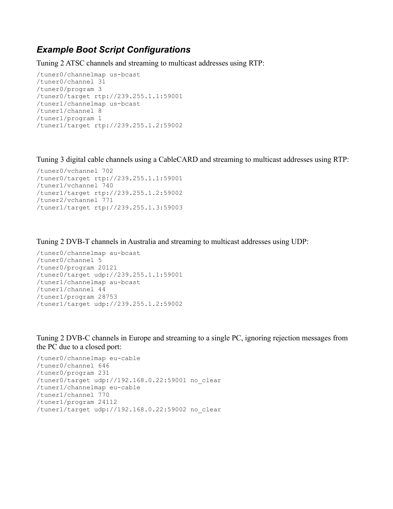## *Example Boot Script Configurations*

Tuning 2 ATSC channels and streaming to multicast addresses using RTP:

```
/tuner0/channelmap us-bcast
/tuner0/channel 31
/tuner0/program 3
/tuner0/target rtp://239.255.1.1:59001
/tuner1/channelmap us-bcast
/tuner1/channel 8
/tuner1/program 1
/tuner1/target rtp://239.255.1.2:59002
```
Tuning 3 digital cable channels using a CableCARD and streaming to multicast addresses using RTP:

```
/tuner0/vchannel 702
/tuner0/target rtp://239.255.1.1:59001
/tuner1/vchannel 740
/tuner1/target rtp://239.255.1.2:59002
/tuner2/vchannel 771
/tuner1/target rtp://239.255.1.3:59003
```
Tuning 2 DVB-T channels in Australia and streaming to multicast addresses using UDP:

```
/tuner0/channelmap au-bcast
/tuner0/channel 5
/tuner0/program 20121
/tuner0/target udp://239.255.1.1:59001
/tuner1/channelmap au-bcast
/tuner1/channel 44
/tuner1/program 28753
/tuner1/target udp://239.255.1.2:59002
```
Tuning 2 DVB-C channels in Europe and streaming to a single PC, ignoring rejection messages from the PC due to a closed port:

```
/tuner0/channelmap eu-cable
/tuner0/channel 646
/tuner0/program 231
/tuner0/target udp://192.168.0.22:59001 no_clear
/tuner1/channelmap eu-cable
/tuner1/channel 770
/tuner1/program 24112
/tuner1/target udp://192.168.0.22:59002 no_clear
```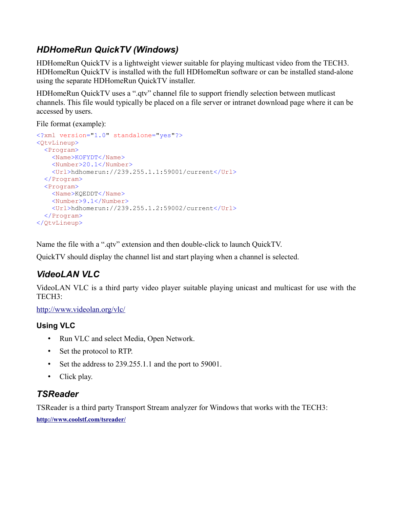# *HDHomeRun QuickTV (Windows)*

HDHomeRun QuickTV is a lightweight viewer suitable for playing multicast video from the TECH3. HDHomeRun QuickTV is installed with the full HDHomeRun software or can be installed stand-alone using the separate HDHomeRun QuickTV installer.

HDHomeRun QuickTV uses a ".qtv" channel file to support friendly selection between mutlicast channels. This file would typically be placed on a file server or intranet download page where it can be accessed by users.

File format (example):

```
<?xml version="1.0" standalone="yes"?>
<QtvLineup>
  <Program>
    <Name>KOFYDT</Name>
     <Number>20.1</Number>
     <Url>hdhomerun://239.255.1.1:59001/current</Url>
  </Program>
  <Program>
     <Name>KQEDDT</Name>
     <Number>9.1</Number>
     <Url>hdhomerun://239.255.1.2:59002/current</Url>
  </Program>
</QtvLineup>
```
Name the file with a ".qtv" extension and then double-click to launch QuickTV.

QuickTV should display the channel list and start playing when a channel is selected.

# *VideoLAN VLC*

VideoLAN VLC is a third party video player suitable playing unicast and multicast for use with the TECH3:

<http://www.videolan.org/vlc/>

# **Using VLC**

- Run VLC and select Media, Open Network.
- Set the protocol to RTP.
- Set the address to 239.255.1.1 and the port to 59001.
- Click play.

# *TSReader*

TSReader is a third party Transport Stream analyzer for Windows that works with the TECH3: **<http://www.coolstf.com/tsreader/>**